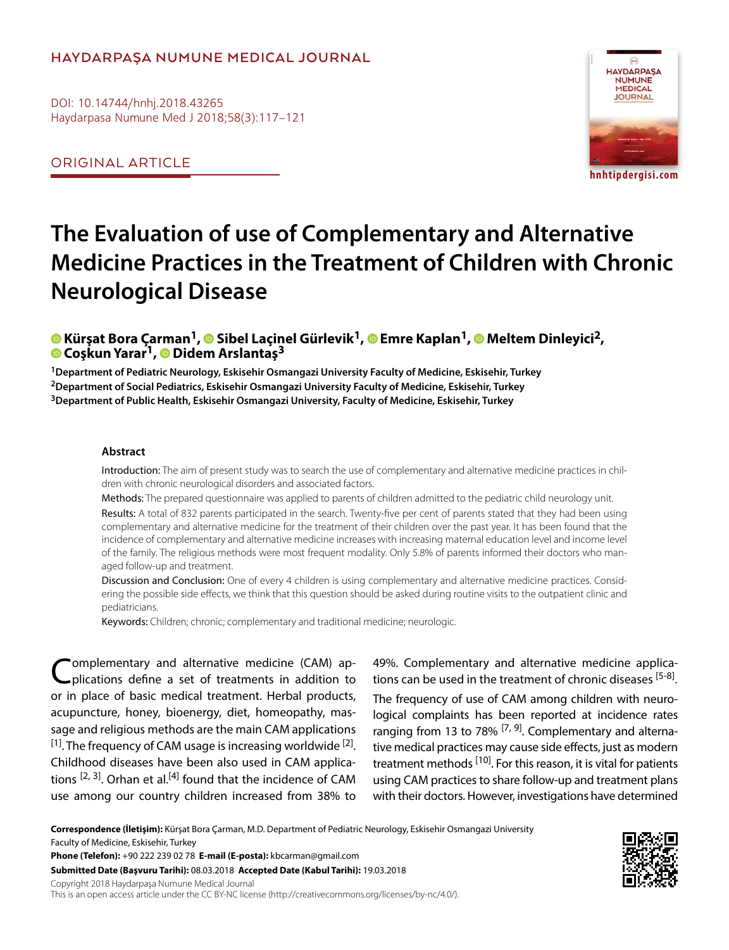## **HAYDARPAŞA NUMUNE MEDICAL JOURNAL**

DOI: 10.14744/hnhj.2018.43265 Haydarpasa Numune Med J 2018;58(3):117–121

ORIGINAL ARTICLE



# **The Evaluation of use of Complementary and Alternative Medicine Practices in the Treatment of Children with Chronic Neurological Disease**

**Kürşat Bora Çarman1,Sibel Laçinel Gürlevik1,Emre Kaplan1,Meltem Dinleyici2, Coşkun Yarar1, Didem Arslantaş3**

**1Department of Pediatric Neurology, Eskisehir Osmangazi University Faculty of Medicine, Eskisehir, Turkey 2Department of Social Pediatrics, Eskisehir Osmangazi University Faculty of Medicine, Eskisehir, Turkey 3Department of Public Health, Eskisehir Osmangazi University, Faculty of Medicine, Eskisehir, Turkey**

#### **Abstract**

Introduction: The aim of present study was to search the use of complementary and alternative medicine practices in children with chronic neurological disorders and associated factors.

Methods: The prepared questionnaire was applied to parents of children admitted to the pediatric child neurology unit. Results: A total of 832 parents participated in the search. Twenty-five per cent of parents stated that they had been using complementary and alternative medicine for the treatment of their children over the past year. It has been found that the incidence of complementary and alternative medicine increases with increasing maternal education level and income level of the family. The religious methods were most frequent modality. Only 5.8% of parents informed their doctors who managed follow-up and treatment.

Discussion and Conclusion: One of every 4 children is using complementary and alternative medicine practices. Considering the possible side effects, we think that this question should be asked during routine visits to the outpatient clinic and pediatricians.

Keywords: Children; chronic; complementary and traditional medicine; neurologic.

'omplementary and alternative medicine (CAM) applications define a set of treatments in addition to or in place of basic medical treatment. Herbal products, acupuncture, honey, bioenergy, diet, homeopathy, massage and religious methods are the main CAM applications  $[1]$ . The frequency of CAM usage is increasing worldwide  $[2]$ . Childhood diseases have been also used in CAM applications  $[2, 3]$ . Orhan et al.<sup>[4]</sup> found that the incidence of CAM use among our country children increased from 38% to

49%. Complementary and alternative medicine applications can be used in the treatment of chronic diseases [5-8].

The frequency of use of CAM among children with neurological complaints has been reported at incidence rates ranging from 13 to 78%  $[7, 9]$ . Complementary and alternative medical practices may cause side effects, just as modern treatment methods <sup>[10]</sup>. For this reason, it is vital for patients using CAM practices to share follow-up and treatment plans with their doctors. However, investigations have determined

**Correspondence (İletişim):** Kürşat Bora Çarman, M.D. Department of Pediatric Neurology, Eskisehir Osmangazi University Faculty of Medicine, Eskisehir, Turkey **Phone (Telefon):** +90 222 239 02 78 **E-mail (E-posta):** kbcarman@gmail.com

**Submitted Date (Başvuru Tarihi):** 08.03.2018 **Accepted Date (Kabul Tarihi):** 19.03.2018

Copyright 2018 Haydarpaşa Numune Medical Journal

This is an open access article under the CC BY-NC license (http://creativecommons.org/licenses/by-nc/4.0/).

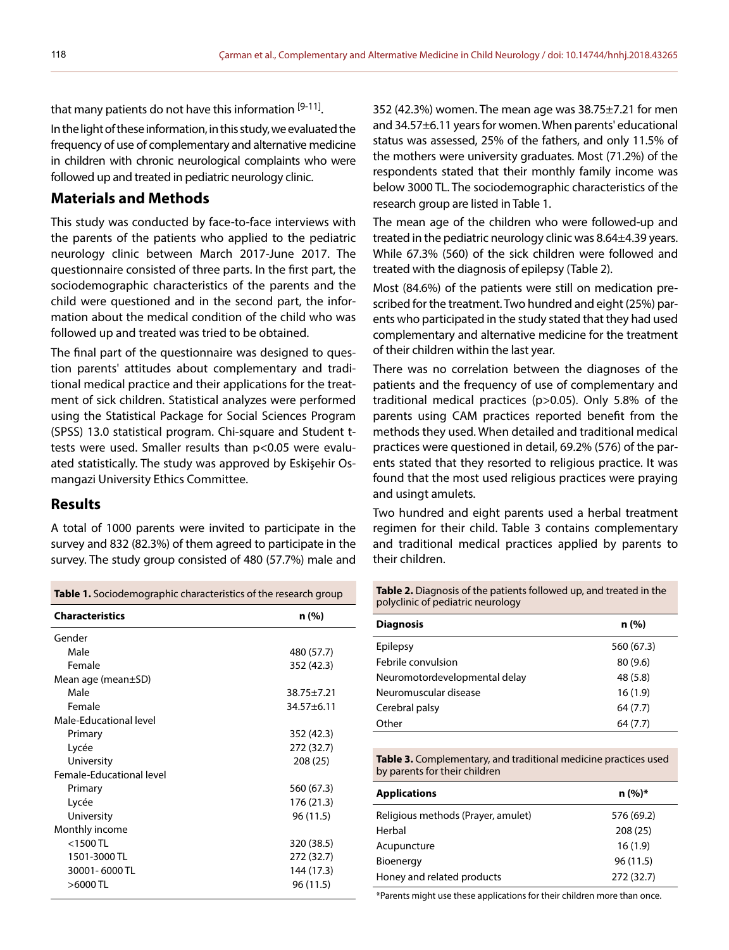that many patients do not have this information [9-11]. In the light of these information, in this study, we evaluated the frequency of use of complementary and alternative medicine in children with chronic neurological complaints who were followed up and treated in pediatric neurology clinic.

# **Materials and Methods**

This study was conducted by face-to-face interviews with the parents of the patients who applied to the pediatric neurology clinic between March 2017-June 2017. The questionnaire consisted of three parts. In the first part, the sociodemographic characteristics of the parents and the child were questioned and in the second part, the information about the medical condition of the child who was followed up and treated was tried to be obtained.

The final part of the questionnaire was designed to question parents' attitudes about complementary and traditional medical practice and their applications for the treatment of sick children. Statistical analyzes were performed using the Statistical Package for Social Sciences Program (SPSS) 13.0 statistical program. Chi-square and Student ttests were used. Smaller results than p<0.05 were evaluated statistically. The study was approved by Eskişehir Osmangazi University Ethics Committee.

## **Results**

A total of 1000 parents were invited to participate in the survey and 832 (82.3%) of them agreed to participate in the survey. The study group consisted of 480 (57.7%) male and

352 (42.3%) women. The mean age was 38.75±7.21 for men and 34.57±6.11 years for women. When parents' educational status was assessed, 25% of the fathers, and only 11.5% of the mothers were university graduates. Most (71.2%) of the respondents stated that their monthly family income was below 3000 TL. The sociodemographic characteristics of the research group are listed in Table 1.

The mean age of the children who were followed-up and treated in the pediatric neurology clinic was 8.64±4.39 years. While 67.3% (560) of the sick children were followed and treated with the diagnosis of epilepsy (Table 2).

Most (84.6%) of the patients were still on medication prescribed for the treatment. Two hundred and eight (25%) parents who participated in the study stated that they had used complementary and alternative medicine for the treatment of their children within the last year.

There was no correlation between the diagnoses of the patients and the frequency of use of complementary and traditional medical practices (p>0.05). Only 5.8% of the parents using CAM practices reported benefit from the methods they used. When detailed and traditional medical practices were questioned in detail, 69.2% (576) of the parents stated that they resorted to religious practice. It was found that the most used religious practices were praying and usingt amulets.

Two hundred and eight parents used a herbal treatment regimen for their child. Table 3 contains complementary and traditional medical practices applied by parents to their children.

| <b>Table 1.</b> Sociodemographic characteristics of the research group |                  |  |  |
|------------------------------------------------------------------------|------------------|--|--|
| <b>Characteristics</b>                                                 | n (%)            |  |  |
| Gender                                                                 |                  |  |  |
| Male                                                                   | 480 (57.7)       |  |  |
| Female                                                                 | 352 (42.3)       |  |  |
| Mean age (mean $\pm$ SD)                                               |                  |  |  |
| Male                                                                   | $38.75 \pm 7.21$ |  |  |
| Female                                                                 | $34.57 + 6.11$   |  |  |
| Male-Educational level                                                 |                  |  |  |
| Primary                                                                | 352 (42.3)       |  |  |
| Lycée                                                                  | 272 (32.7)       |  |  |
| University                                                             | 208 (25)         |  |  |
| Female-Educational level                                               |                  |  |  |
| Primary                                                                | 560 (67.3)       |  |  |
| Lycée                                                                  | 176 (21.3)       |  |  |
| University                                                             | 96 (11.5)        |  |  |
| Monthly income                                                         |                  |  |  |
| $<$ 1500 TL                                                            | 320 (38.5)       |  |  |
| 1501-3000 TL                                                           | 272 (32.7)       |  |  |
| 30001-6000 TL                                                          | 144 (17.3)       |  |  |
| >6000TL                                                                | 96 (11.5)        |  |  |

**Table 2.** Diagnosis of the patients followed up, and treated in the polyclinic of pediatric neurology

| <b>Diagnosis</b>              | n (%)      |
|-------------------------------|------------|
| Epilepsy                      | 560 (67.3) |
| Febrile convulsion            | 80(9.6)    |
| Neuromotordevelopmental delay | 48 (5.8)   |
| Neuromuscular disease         | 16(1.9)    |
| Cerebral palsy                | 64 (7.7)   |
| Other                         | 64 (7.7)   |

**Table 3.** Complementary, and traditional medicine practices used by parents for their children

| <b>Applications</b>                | $n (%)*$   |
|------------------------------------|------------|
| Religious methods (Prayer, amulet) | 576 (69.2) |
| Herbal                             | 208(25)    |
| Acupuncture                        | 16(1.9)    |
| Bioenergy                          | 96(11.5)   |
| Honey and related products         | 272 (32.7) |

\*Parents might use these applications for their children more than once.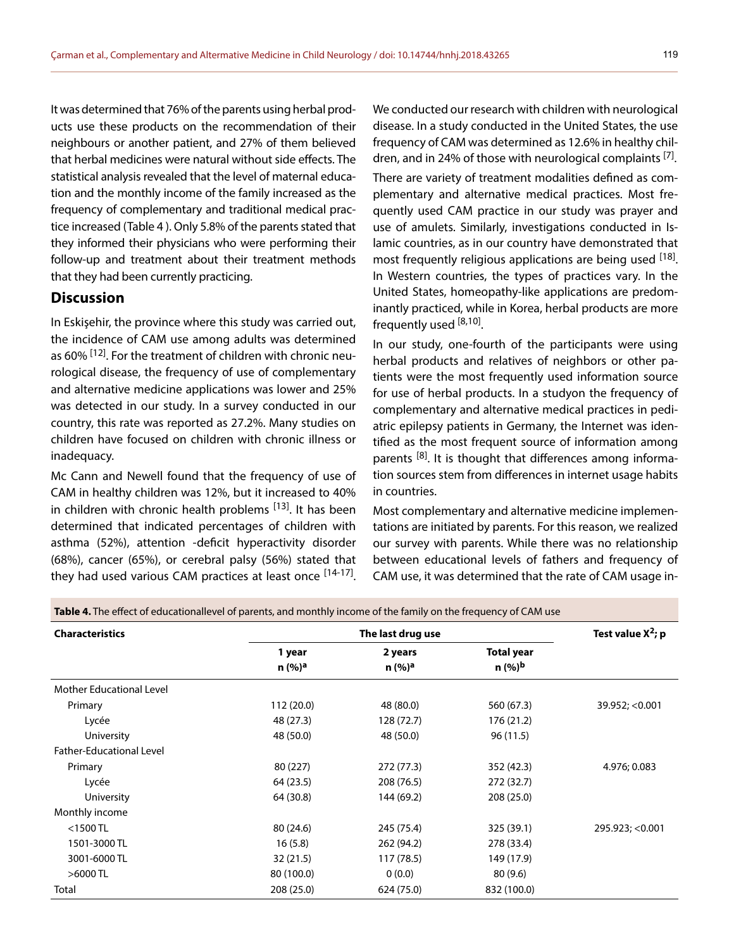It was determined that 76% of the parents using herbal products use these products on the recommendation of their neighbours or another patient, and 27% of them believed that herbal medicines were natural without side effects. The statistical analysis revealed that the level of maternal education and the monthly income of the family increased as the frequency of complementary and traditional medical practice increased (Table 4 ). Only 5.8% of the parents stated that they informed their physicians who were performing their follow-up and treatment about their treatment methods that they had been currently practicing.

## **Discussion**

In Eskişehir, the province where this study was carried out, the incidence of CAM use among adults was determined as 60% <sup>[12]</sup>. For the treatment of children with chronic neurological disease, the frequency of use of complementary and alternative medicine applications was lower and 25% was detected in our study. In a survey conducted in our country, this rate was reported as 27.2%. Many studies on children have focused on children with chronic illness or inadequacy.

Mc Cann and Newell found that the frequency of use of CAM in healthy children was 12%, but it increased to 40% in children with chronic health problems <sup>[13]</sup>. It has been determined that indicated percentages of children with asthma (52%), attention -deficit hyperactivity disorder (68%), cancer (65%), or cerebral palsy (56%) stated that they had used various CAM practices at least once [14-17]. We conducted our research with children with neurological disease. In a study conducted in the United States, the use frequency of CAM was determined as 12.6% in healthy children, and in 24% of those with neurological complaints  $[7]$ .

There are variety of treatment modalities defined as complementary and alternative medical practices. Most frequently used CAM practice in our study was prayer and use of amulets. Similarly, investigations conducted in Islamic countries, as in our country have demonstrated that most frequently religious applications are being used [18]. In Western countries, the types of practices vary. In the United States, homeopathy-like applications are predominantly practiced, while in Korea, herbal products are more frequently used  $[8,10]$ .

In our study, one-fourth of the participants were using herbal products and relatives of neighbors or other patients were the most frequently used information source for use of herbal products. In a studyon the frequency of complementary and alternative medical practices in pediatric epilepsy patients in Germany, the Internet was identified as the most frequent source of information among parents <sup>[8]</sup>. It is thought that differences among information sources stem from differences in internet usage habits in countries.

Most complementary and alternative medicine implementations are initiated by parents. For this reason, we realized our survey with parents. While there was no relationship between educational levels of fathers and frequency of CAM use, it was determined that the rate of CAM usage in-

| <b>Characteristics</b>          | The last drug use            |                               |                                  | Test value $X^2$ ; p |
|---------------------------------|------------------------------|-------------------------------|----------------------------------|----------------------|
|                                 | 1 year<br>n (%) <sup>a</sup> | 2 years<br>n (%) <sup>a</sup> | Total year<br>n (%) <sup>b</sup> |                      |
|                                 |                              |                               |                                  |                      |
| Primary                         | 112 (20.0)                   | 48 (80.0)                     | 560 (67.3)                       | 39.952; < 0.001      |
| Lycée                           | 48 (27.3)                    | 128 (72.7)                    | 176 (21.2)                       |                      |
| University                      | 48 (50.0)                    | 48 (50.0)                     | 96 (11.5)                        |                      |
| <b>Father-Educational Level</b> |                              |                               |                                  |                      |
| Primary                         | 80 (227)                     | 272 (77.3)                    | 352 (42.3)                       | 4.976; 0.083         |
| Lycée                           | 64 (23.5)                    | 208 (76.5)                    | 272 (32.7)                       |                      |
| University                      | 64 (30.8)                    | 144 (69.2)                    | 208 (25.0)                       |                      |
| Monthly income                  |                              |                               |                                  |                      |
| $<$ 1500 TL                     | 80 (24.6)                    | 245 (75.4)                    | 325 (39.1)                       | 295.923; < 0.001     |
| 1501-3000 TL                    | 16(5.8)                      | 262 (94.2)                    | 278 (33.4)                       |                      |
| 3001-6000 TL                    | 32(21.5)                     | 117(78.5)                     | 149 (17.9)                       |                      |
| $>6000$ TL                      | 80 (100.0)                   | 0(0.0)                        | 80(9.6)                          |                      |
| Total                           | 208 (25.0)                   | 624 (75.0)                    | 832 (100.0)                      |                      |

**Table 4.** The effect of educationallevel of parents, and monthly income of the family on the frequency of CAM use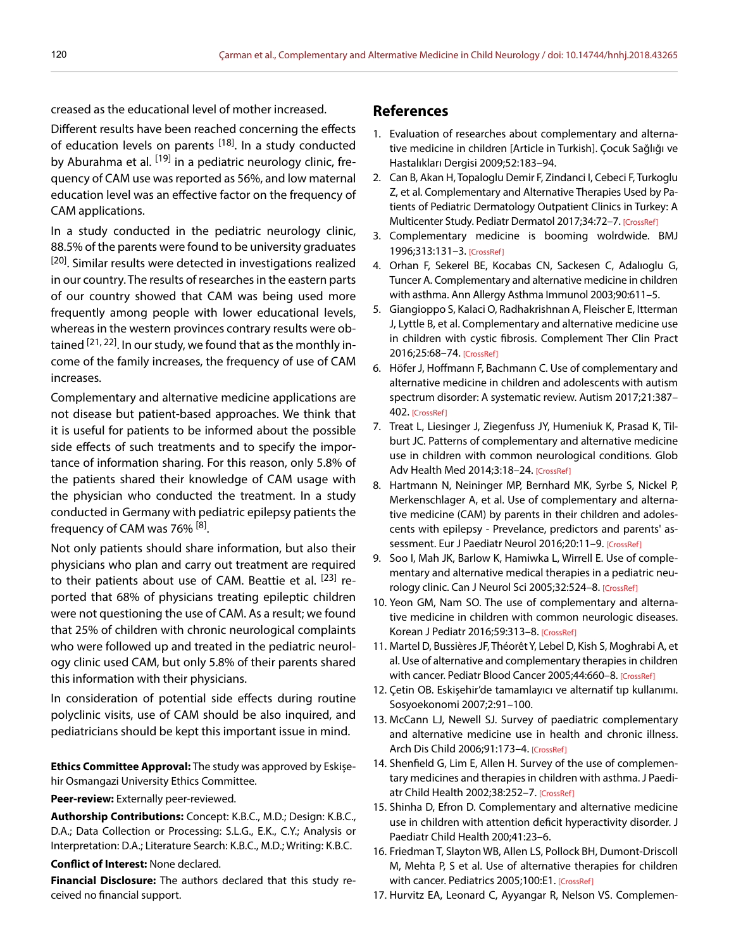creased as the educational level of mother increased.

Different results have been reached concerning the effects of education levels on parents <sup>[18]</sup>. In a study conducted by Aburahma et al. <sup>[19]</sup> in a pediatric neurology clinic, frequency of CAM use was reported as 56%, and low maternal education level was an effective factor on the frequency of CAM applications.

In a study conducted in the pediatric neurology clinic, 88.5% of the parents were found to be university graduates <sup>[20]</sup>. Similar results were detected in investigations realized in our country. The results of researches in the eastern parts of our country showed that CAM was being used more frequently among people with lower educational levels, whereas in the western provinces contrary results were obtained  $[21, 22]$ . In our study, we found that as the monthly income of the family increases, the frequency of use of CAM increases.

Complementary and alternative medicine applications are not disease but patient-based approaches. We think that it is useful for patients to be informed about the possible side effects of such treatments and to specify the importance of information sharing. For this reason, only 5.8% of the patients shared their knowledge of CAM usage with the physician who conducted the treatment. In a study conducted in Germany with pediatric epilepsy patients the frequency of CAM was 76% [8].

Not only patients should share information, but also their physicians who plan and carry out treatment are required to their patients about use of CAM. Beattie et al. <sup>[23]</sup> reported that 68% of physicians treating epileptic children were not questioning the use of CAM. As a result; we found that 25% of children with chronic neurological complaints who were followed up and treated in the pediatric neurology clinic used CAM, but only 5.8% of their parents shared this information with their physicians.

In consideration of potential side effects during routine polyclinic visits, use of CAM should be also inquired, and pediatricians should be kept this important issue in mind.

**Ethics Committee Approval:** The study was approved by Eskişehir Osmangazi University Ethics Committee.

#### **Peer-review:** Externally peer-reviewed.

**Authorship Contributions:** Concept: K.B.C., M.D.; Design: K.B.C., D.A.; Data Collection or Processing: S.L.G., E.K., C.Y.; Analysis or Interpretation: D.A.; Literature Search: K.B.C., M.D.; Writing: K.B.C.

#### **Conflict of Interest:** None declared.

**Financial Disclosure:** The authors declared that this study received no financial support.

### **References**

- 1. Evaluation of researches about complementary and alternative medicine in children [Article in Turkish]. Çocuk Sağlığı ve Hastalıkları Dergisi 2009;52:183–94.
- 2. Can B, Akan H, Topaloglu Demir F, Zindanci I, Cebeci F, Turkoglu Z, et al. Complementary and Alternative Therapies Used by Patients of Pediatric Dermatology Outpatient Clinics in Turkey: A Multicenter Study. Pediatr Dermatol 2017;34:72–7[. \[CrossRef\]](https://doi.org/10.1111/pde.13039)
- 3. Complementary medicine is booming wolrdwide. BMJ 1996;313:131–[3. \[CrossRef\]](https://doi.org/10.1136/bmj.313.7050.131)
- 4. Orhan F, Sekerel BE, Kocabas CN, Sackesen C, Adalıoglu G, Tuncer A. Complementary and alternative medicine in children with asthm[a. Ann Allergy Asthma Immunol 2003;90:611–5.](https://doi.org/10.1016/S1081-1206(10)61864-9)
- 5. Giangioppo S, Kalaci O, Radhakrishnan A, Fleischer E, Itterman J, Lyttle B, et al. Complementary and alternative medicine use in children with cystic fibrosis. Complement Ther Clin Pract 2016;25:68–74[. \[CrossRef\]](https://doi.org/10.1016/j.ctcp.2016.08.006)
- 6. Höfer J, Hoffmann F, Bachmann C. Use of complementary and alternative medicine in children and adolescents with autism spectrum disorder: A systematic review. Autism 2017;21:387– 4[02. \[CrossRef\]](https://doi.org/10.1177/1362361316646559)
- 7. Treat L, Liesinger J, Ziegenfuss JY, Humeniuk K, Prasad K, Tilburt JC. Patterns of complementary and alternative medicine use in children with common neurological conditions. Glob Adv Health Med 2014;3:18[–24. \[CrossRef\]](https://doi.org/10.7453/gahmj.2013.001)
- 8. Hartmann N, Neininger MP, Bernhard MK, Syrbe S, Nickel P, Merkenschlager A, et al. Use of complementary and alternative medicine (CAM) by parents in their children and adolescents with epilepsy - Prevelance, predictors and parents' as-sessment. Eur J Paediatr Neurol 2016;20:11-[9. \[CrossRef\]](https://doi.org/10.1016/j.ejpn.2015.11.003)
- 9. Soo I, Mah JK, Barlow K, Hamiwka L, Wirrell E. Use of complementary and alternative medical therapies in a pediatric neurology clinic. Can J Neurol Sci 2005;32:524–8[. \[CrossRef\]](https://doi.org/10.1017/S0317167100004558)
- 10. Yeon GM, Nam SO. The use of complementary and alternative medicine in children with common neurologic diseases. Korean J Pediatr 2016;59:313–8[. \[CrossRef\]](https://doi.org/10.3345/kjp.2016.59.8.313)
- 11. Martel D, Bussières JF, Théorêt Y, Lebel D, Kish S, Moghrabi A, et al. Use of alternative and complementary therapies in children with cancer. Pediatr Blood Cancer 2005;44:660-8. [CrossRef]
- 12. Çetin OB. Eskişehir'de tamamlayıcı ve alternatif tıp kullanımı. Sosyoekonomi 2007;2:91–100.
- 13. McCann LJ, Newell SJ. Survey of paediatric complementary and alternative medicine use in health and chronic illness. Arch Dis Child 2006;91:173–4[. \[CrossRef\]](https://doi.org/10.1136/adc.2004.052514)
- 14. Shenfield G, Lim E, Allen H. Survey of the use of complementary medicines and therapies in children with asthma. J Paediatr Child Health 2002;38:252–[7. \[CrossRef\]](https://doi.org/10.1046/j.1440-1754.2002.00770.x)
- 15. Shinha D, Efron D. Complementary and alternative medicine use in children with attention deficit hyperactivity disorder. J Paediatr Child Health 200;41:23–6.
- 16. Friedman T, Slayton WB, Allen LS, Pollock BH, Dumont-Driscoll M, Mehta P, S et al. Use of alternative therapies for children with cancer. Pediatrics 2005;100:E[1. \[CrossRef\]](https://doi.org/10.1542/peds.100.6.e1)
- 17. Hurvitz EA, Leonard C, Ayyangar R, Nelson VS. Complemen-